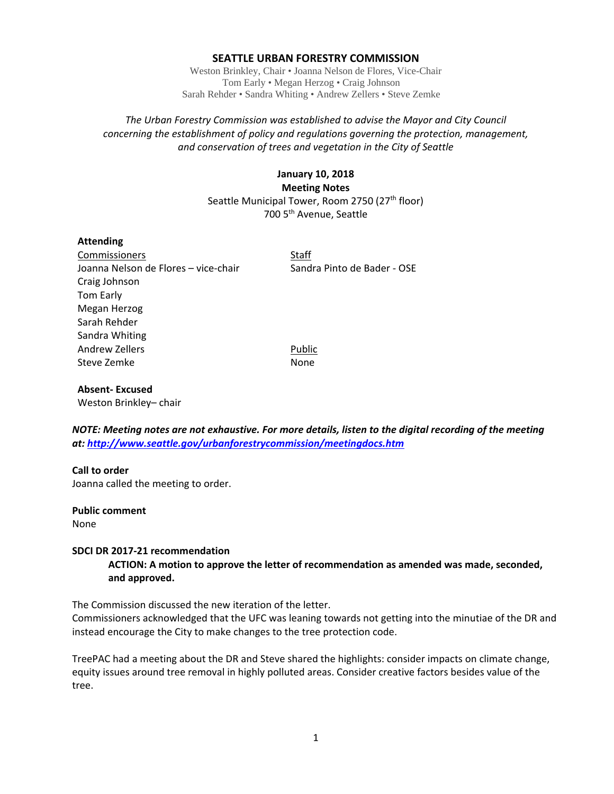## **SEATTLE URBAN FORESTRY COMMISSION**

Weston Brinkley, Chair • Joanna Nelson de Flores, Vice-Chair Tom Early • Megan Herzog • Craig Johnson Sarah Rehder • Sandra Whiting • Andrew Zellers • Steve Zemke

## *The Urban Forestry Commission was established to advise the Mayor and City Council concerning the establishment of policy and regulations governing the protection, management, and conservation of trees and vegetation in the City of Seattle*

# **January 10, 2018 Meeting Notes** Seattle Municipal Tower, Room 2750 (27<sup>th</sup> floor) 700 5th Avenue, Seattle

## **Attending**

Commissioners Staff Joanna Nelson de Flores – vice-chair Sandra Pinto de Bader - OSE Craig Johnson Tom Early Megan Herzog Sarah Rehder Sandra Whiting Andrew Zellers **Public** Steve Zemke None

## **Absent‐ Excused**

Weston Brinkley– chair

*NOTE: Meeting notes are not exhaustive. For more details, listen to the digital recording of the meeting at: http://www.seattle.gov/urbanforestrycommission/meetingdocs.htm*

## **Call to order**

Joanna called the meeting to order.

#### **Public comment**

None

## **SDCI DR 2017‐21 recommendation**

**ACTION: A motion to approve the letter of recommendation as amended was made, seconded, and approved.**

The Commission discussed the new iteration of the letter.

Commissioners acknowledged that the UFC was leaning towards not getting into the minutiae of the DR and instead encourage the City to make changes to the tree protection code.

TreePAC had a meeting about the DR and Steve shared the highlights: consider impacts on climate change, equity issues around tree removal in highly polluted areas. Consider creative factors besides value of the tree.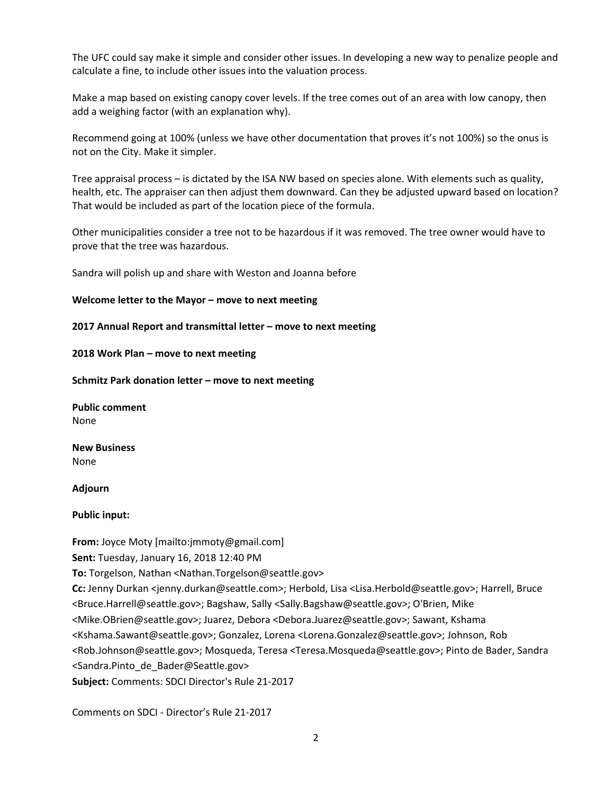The UFC could say make it simple and consider other issues. In developing a new way to penalize people and calculate a fine, to include other issues into the valuation process.

Make a map based on existing canopy cover levels. If the tree comes out of an area with low canopy, then add a weighing factor (with an explanation why).

Recommend going at 100% (unless we have other documentation that proves it's not 100%) so the onus is not on the City. Make it simpler.

Tree appraisal process – is dictated by the ISA NW based on species alone. With elements such as quality, health, etc. The appraiser can then adjust them downward. Can they be adjusted upward based on location? That would be included as part of the location piece of the formula.

Other municipalities consider a tree not to be hazardous if it was removed. The tree owner would have to prove that the tree was hazardous.

Sandra will polish up and share with Weston and Joanna before

## **Welcome letter to the Mayor – move to next meeting**

## **2017 Annual Report and transmittal letter – move to next meeting**

**2018 Work Plan – move to next meeting**

**Schmitz Park donation letter – move to next meeting**

**Public comment** None

**New Business** None

#### **Adjourn**

**Public input:** 

**From:** Joyce Moty [mailto:jmmoty@gmail.com] **Sent:** Tuesday, January 16, 2018 12:40 PM **To:** Torgelson, Nathan <Nathan.Torgelson@seattle.gov> **Cc:** Jenny Durkan <jenny.durkan@seattle.com>; Herbold, Lisa <Lisa.Herbold@seattle.gov>; Harrell, Bruce <Bruce.Harrell@seattle.gov>; Bagshaw, Sally <Sally.Bagshaw@seattle.gov>; O'Brien, Mike <Mike.OBrien@seattle.gov>; Juarez, Debora <Debora.Juarez@seattle.gov>; Sawant, Kshama <Kshama.Sawant@seattle.gov>; Gonzalez, Lorena <Lorena.Gonzalez@seattle.gov>; Johnson, Rob <Rob.Johnson@seattle.gov>; Mosqueda, Teresa <Teresa.Mosqueda@seattle.gov>; Pinto de Bader, Sandra <Sandra.Pinto\_de\_Bader@Seattle.gov> **Subject:** Comments: SDCI Director's Rule 21‐2017

Comments on SDCI ‐ Director's Rule 21‐2017